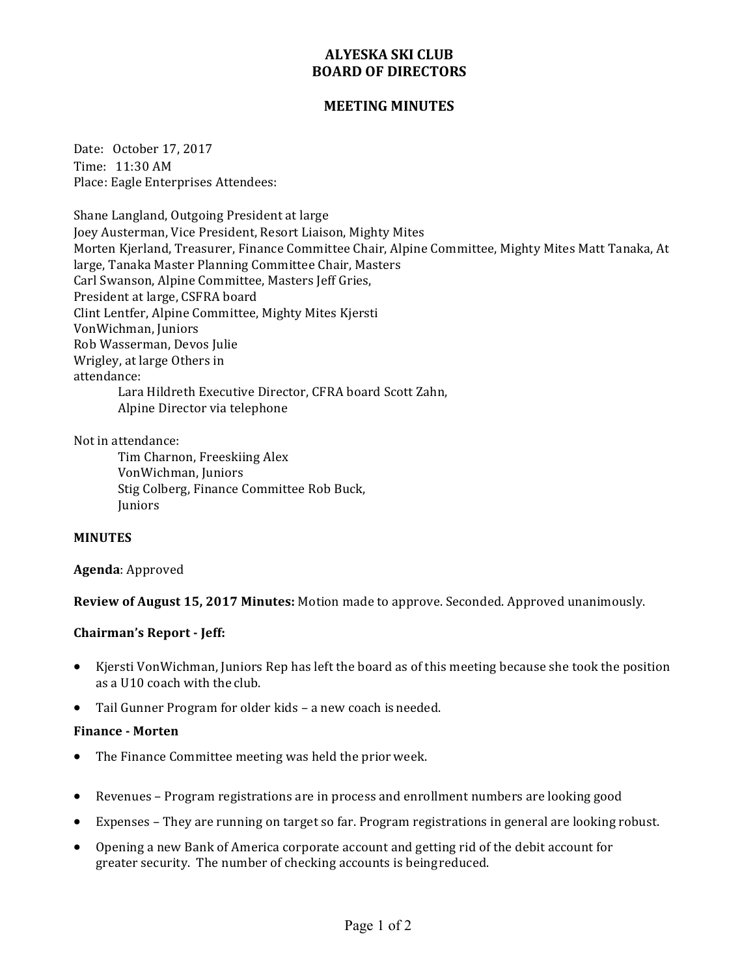# **ALYESKA SKI CLUB BOARD OF DIRECTORS**

## **MEETING MINUTES**

Date: October 17, 2017 Time: 11:30 AM Place: Eagle Enterprises Attendees:

Shane Langland, Outgoing President at large Joey Austerman, Vice President, Resort Liaison, Mighty Mites Morten Kjerland, Treasurer, Finance Committee Chair, Alpine Committee, Mighty Mites Matt Tanaka, At large, Tanaka Master Planning Committee Chair, Masters Carl Swanson, Alpine Committee, Masters Jeff Gries, President at large, CSFRA board Clint Lentfer, Alpine Committee, Mighty Mites Kjersti VonWichman, Juniors Rob Wasserman, Devos Julie Wrigley, at large Others in attendance: Lara Hildreth Executive Director, CFRA board Scott Zahn, Alpine Director via telephone

Not in attendance:

Tim Charnon, Freeskiing Alex VonWichman, Juniors Stig Colberg, Finance Committee Rob Buck, **Iuniors** 

## **MINUTES**

## **Agenda**: Approved

**Review of August 15, 2017 Minutes:** Motion made to approve. Seconded. Approved unanimously.

## **Chairman's Report - Jeff:**

- Kjersti VonWichman, Juniors Rep has left the board as of this meeting because she took the position as a U10 coach with the club.
- Tail Gunner Program for older kids a new coach is needed.

## **Finance - Morten**

- The Finance Committee meeting was held the prior week.
- Revenues Program registrations are in process and enrollment numbers are looking good
- Expenses They are running on target so far. Program registrations in general are looking robust.
- Opening a new Bank of America corporate account and getting rid of the debit account for greater security. The number of checking accounts is being reduced.